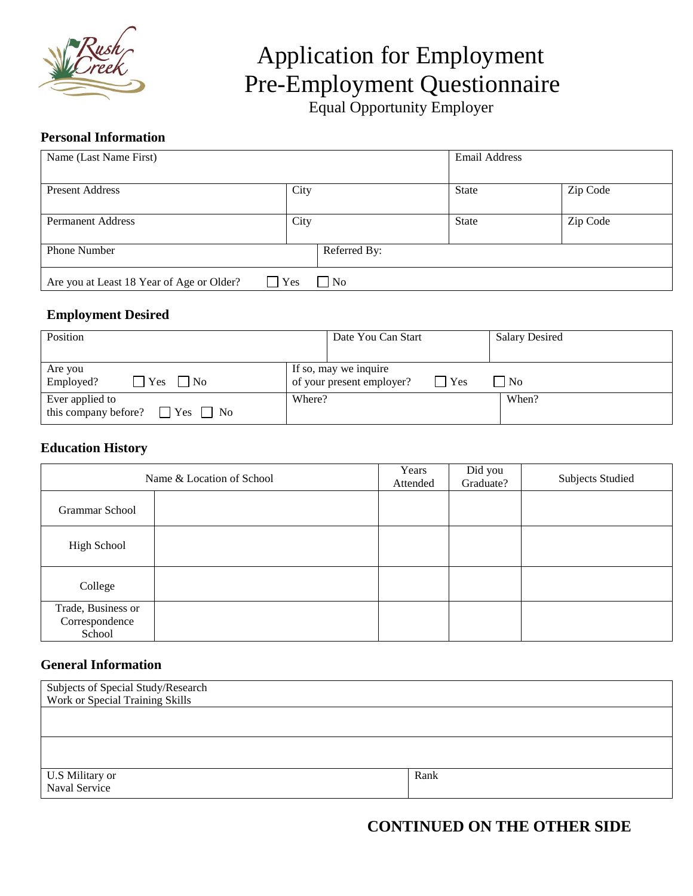

# Application for Employment Pre-Employment Questionnaire<br>Equal Opportunity Employer

#### **Personal Information**

| Name (Last Name First)                                                         |              | <b>Email Address</b> |          |  |
|--------------------------------------------------------------------------------|--------------|----------------------|----------|--|
| <b>Present Address</b>                                                         | City         | <b>State</b>         | Zip Code |  |
| <b>Permanent Address</b>                                                       | City         | State                | Zip Code |  |
| <b>Phone Number</b>                                                            | Referred By: |                      |          |  |
| $\vert$ No<br>Yes<br>Are you at Least 18 Year of Age or Older?<br>$\mathbf{L}$ |              |                      |          |  |

## **Employment Desired**

| Position                                                        | Date You Can Start                                 | <b>Salary Desired</b>     |  |
|-----------------------------------------------------------------|----------------------------------------------------|---------------------------|--|
| Are you<br>Employed?<br>$ $ $ $ $Yes$ $ $ $ $ $No$              | If so, may we inquire<br>of your present employer? | Yes<br>$\overline{N_{0}}$ |  |
| Ever applied to<br>$\Box$ Yes $\Box$ No<br>this company before? | Where?                                             | When?                     |  |

### **Education History**

| Name & Location of School                      |  | Years<br>Attended | Did you<br>Graduate? | <b>Subjects Studied</b> |
|------------------------------------------------|--|-------------------|----------------------|-------------------------|
| Grammar School                                 |  |                   |                      |                         |
| High School                                    |  |                   |                      |                         |
| College                                        |  |                   |                      |                         |
| Trade, Business or<br>Correspondence<br>School |  |                   |                      |                         |

#### **General Information**

| Subjects of Special Study/Research<br>Work or Special Training Skills |      |
|-----------------------------------------------------------------------|------|
|                                                                       |      |
|                                                                       |      |
| U.S Military or<br>Naval Service                                      | Rank |

# **CONTINUED ON THE OTHER SIDE**